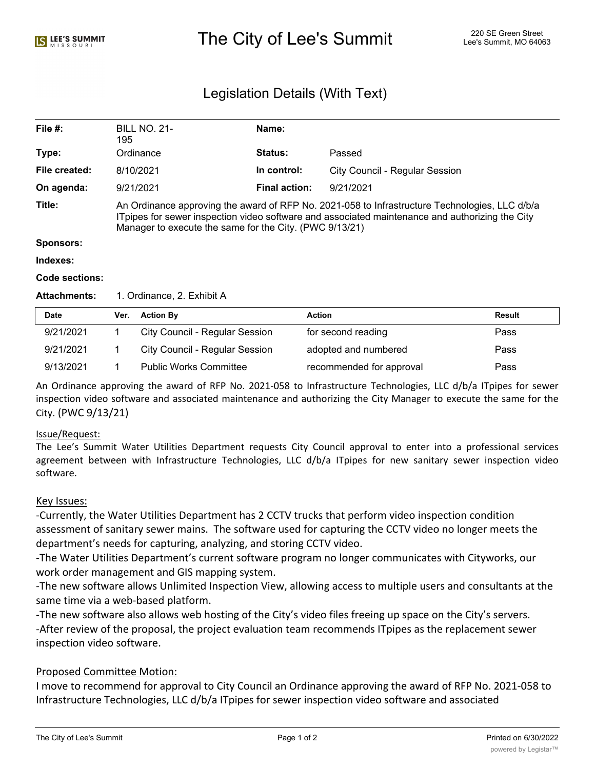# The City of Lee's Summit 220 SE Green Street Alex City of Lee's Summit, MO 64063

## Legislation Details (With Text)

| File $#$ :            | <b>BILL NO. 21-</b><br>195                                                                                                                                                                                                                                   | Name:                |                                |  |  |  |
|-----------------------|--------------------------------------------------------------------------------------------------------------------------------------------------------------------------------------------------------------------------------------------------------------|----------------------|--------------------------------|--|--|--|
| Type:                 | Ordinance                                                                                                                                                                                                                                                    | <b>Status:</b>       | Passed                         |  |  |  |
| File created:         | 8/10/2021                                                                                                                                                                                                                                                    | In control:          | City Council - Regular Session |  |  |  |
| On agenda:            | 9/21/2021                                                                                                                                                                                                                                                    | <b>Final action:</b> | 9/21/2021                      |  |  |  |
| Title:                | An Ordinance approving the award of RFP No. 2021-058 to Infrastructure Technologies, LLC d/b/a<br>ITpipes for sewer inspection video software and associated maintenance and authorizing the City<br>Manager to execute the same for the City. (PWC 9/13/21) |                      |                                |  |  |  |
| <b>Sponsors:</b>      |                                                                                                                                                                                                                                                              |                      |                                |  |  |  |
| Indexes:              |                                                                                                                                                                                                                                                              |                      |                                |  |  |  |
| <b>Code sections:</b> |                                                                                                                                                                                                                                                              |                      |                                |  |  |  |

#### Attachments: 1. Ordinance, 2. Exhibit A

| <b>Date</b> | Ver. | <b>Action By</b>                      | Action                   | <b>Result</b> |
|-------------|------|---------------------------------------|--------------------------|---------------|
| 9/21/2021   |      | <b>City Council - Regular Session</b> | for second reading       | Pass          |
| 9/21/2021   |      | City Council - Regular Session        | adopted and numbered     | Pass          |
| 9/13/2021   |      | <b>Public Works Committee</b>         | recommended for approval | Pass          |

An Ordinance approving the award of RFP No. 2021-058 to Infrastructure Technologies, LLC d/b/a ITpipes for sewer inspection video software and associated maintenance and authorizing the City Manager to execute the same for the City. (PWC 9/13/21)

### Issue/Request:

The Lee's Summit Water Utilities Department requests City Council approval to enter into a professional services agreement between with Infrastructure Technologies, LLC d/b/a ITpipes for new sanitary sewer inspection video software.

### Key Issues:

-Currently, the Water Utilities Department has 2 CCTV trucks that perform video inspection condition assessment of sanitary sewer mains. The software used for capturing the CCTV video no longer meets the department's needs for capturing, analyzing, and storing CCTV video.

-The Water Utilities Department's current software program no longer communicates with Cityworks, our work order management and GIS mapping system.

-The new software allows Unlimited Inspection View, allowing access to multiple users and consultants at the same time via a web-based platform.

-The new software also allows web hosting of the City's video files freeing up space on the City's servers. -After review of the proposal, the project evaluation team recommends ITpipes as the replacement sewer inspection video software.

### Proposed Committee Motion:

I move to recommend for approval to City Council an Ordinance approving the award of RFP No. 2021-058 to Infrastructure Technologies, LLC d/b/a ITpipes for sewer inspection video software and associated